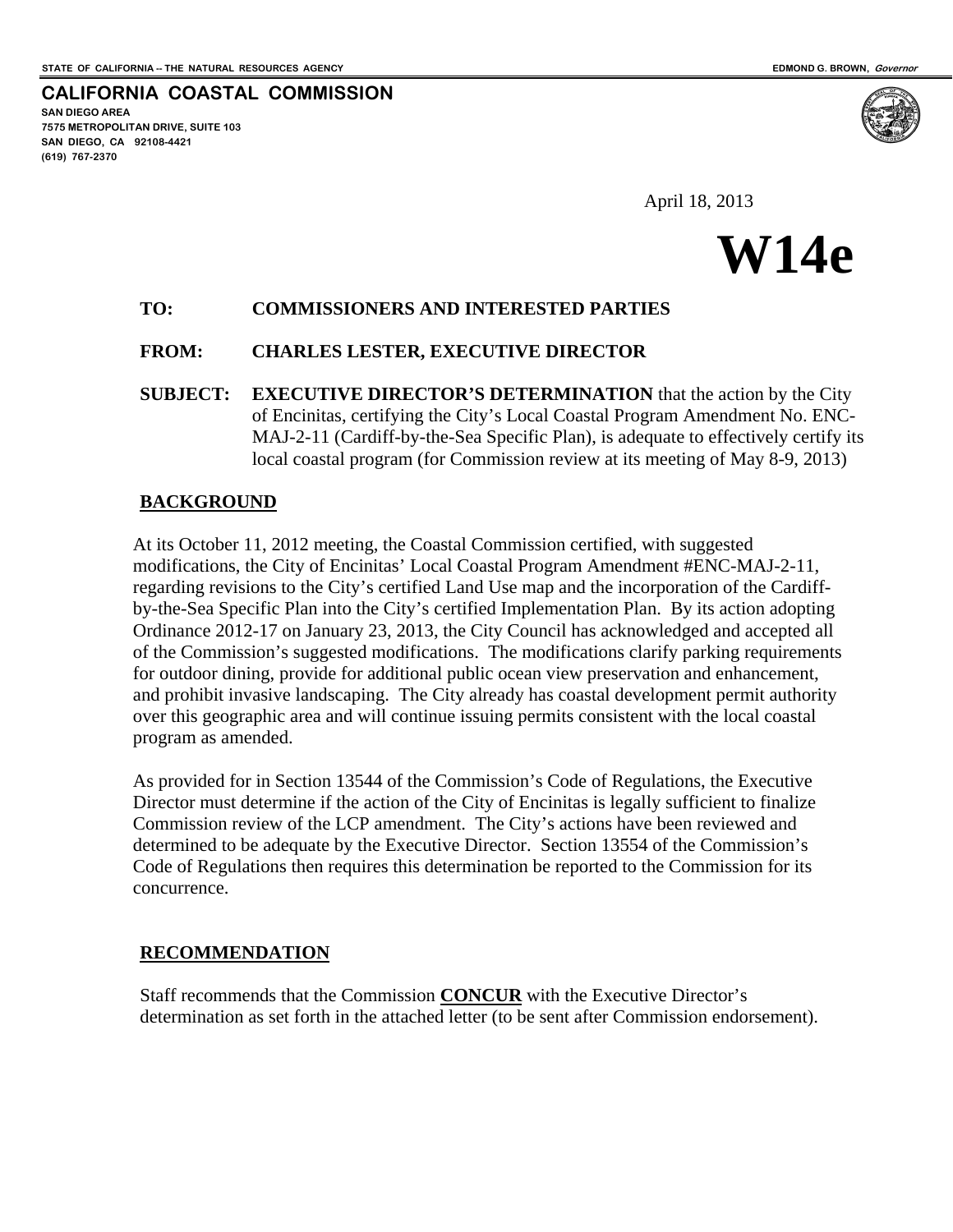**SAN DIEGO AREA** 

**(619) 767-2370** 

**7575 METROPOLITAN DRIVE, SUITE 103 SAN DIEGO, CA 92108-4421** 

**CALIFORNIA COASTAL COMMISSION** 

April 18, 2013

# **W14e**

# **TO: COMMISSIONERS AND INTERESTED PARTIES**

## **FROM: CHARLES LESTER, EXECUTIVE DIRECTOR**

**SUBJECT: EXECUTIVE DIRECTOR'S DETERMINATION** that the action by the City of Encinitas, certifying the City's Local Coastal Program Amendment No. ENC-MAJ-2-11 (Cardiff-by-the-Sea Specific Plan), is adequate to effectively certify its local coastal program (for Commission review at its meeting of May 8-9, 2013)

# **BACKGROUND**

At its October 11, 2012 meeting, the Coastal Commission certified, with suggested modifications, the City of Encinitas' Local Coastal Program Amendment #ENC-MAJ-2-11, regarding revisions to the City's certified Land Use map and the incorporation of the Cardiffby-the-Sea Specific Plan into the City's certified Implementation Plan. By its action adopting Ordinance 2012-17 on January 23, 2013, the City Council has acknowledged and accepted all of the Commission's suggested modifications. The modifications clarify parking requirements for outdoor dining, provide for additional public ocean view preservation and enhancement, and prohibit invasive landscaping. The City already has coastal development permit authority over this geographic area and will continue issuing permits consistent with the local coastal program as amended.

As provided for in Section 13544 of the Commission's Code of Regulations, the Executive Director must determine if the action of the City of Encinitas is legally sufficient to finalize Commission review of the LCP amendment. The City's actions have been reviewed and determined to be adequate by the Executive Director. Section 13554 of the Commission's Code of Regulations then requires this determination be reported to the Commission for its concurrence.

# **RECOMMENDATION**

Staff recommends that the Commission **CONCUR** with the Executive Director's determination as set forth in the attached letter (to be sent after Commission endorsement).